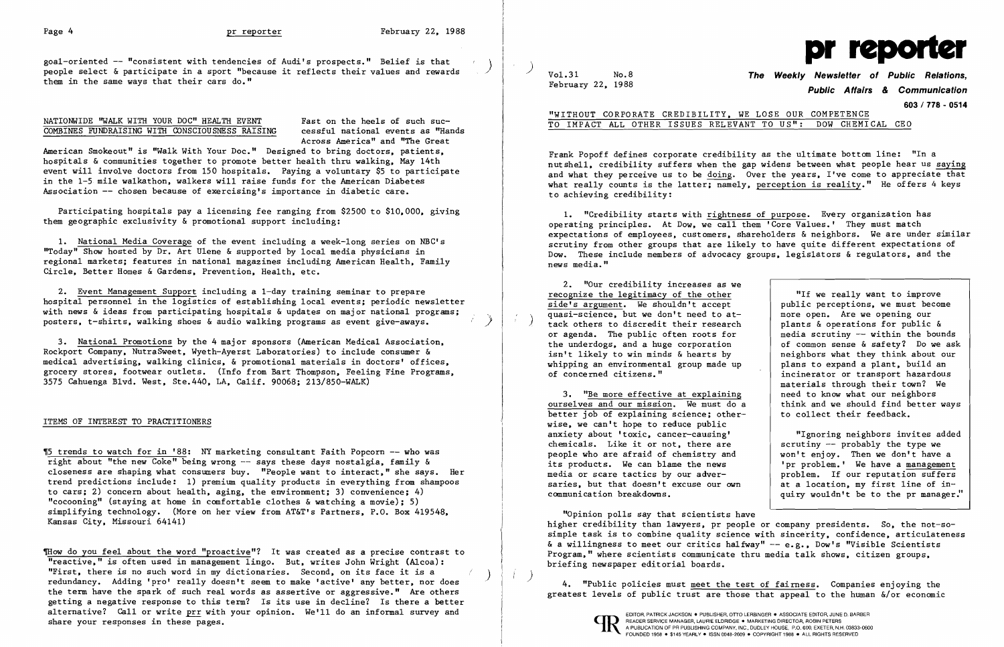goal-oriented -- "consistent with tendencies of Audi's prospects." Belief is that<br>people select & participate in a sport "because it reflects their values and rewards and people select & participate in a sport "because it reflects their values and rewards them in the same ways that their cars do."

> Fast on the heels of such successful national events as "Hands Across America" and "The Great

## NATIONWIDE ''WALK WITH YOUR DOC" HEALTH EVENT COMBINES FUNDRAISING WITH CONSCIOUSNESS RAISING

1. National Media Coverage of the event including a week-long series on NBC's "Today" Show hosted by Dr. Art Ulene & supported by local media physicians in regional markets; features in national magazines including American Health, Family Circle, Better Homes & Gardens, Prevention, Health, etc.

2. Event Management Support including a 1-day training seminar to prepare hospital personnel in the logistics of establishing local events; periodic newsletter with news & ideas from participating hospitals & updates on major national programs; posters, t-shirts, walking shoes & audio walking programs as event give-aways.

American Smokeout" is "Walk With Your Doc." Designed to bring doctors, patients, hospitals & communities together to promote better health thru walking, May 14th event will involve doctors from 150 hospitals. Paying a voluntary \$5 to participate in the 1-5 mile walkathon, walkers will raise funds for the American Diabetes Association -- chosen because of exercising's importance in diabetic care.

Participating hospitals pay a licensing fee ranging from \$2500 to \$10,000, giving them geographic exclusivity & promotional support including:

~ow do you feel about the word "proactive"? It was created as a precise contrast to Wreactive," is often used in management lingo. But, writes John Wright (Alcoa):<br>"First, there is no such word in my dictionaries. Second, on its face it is a redundancy. Adding 'pro' really doesn't seem to make 'active' any better, nor does the term have the spark of such real words as assertive or aggressive." Are others getting a negative response to this term? Is its use in decline? Is there a better alternative? Call or write prr with your opinion. We'll do an informal survey and Sulform Comment Comment Comment Comment Resource MARKETING ASSOCIATE EDITOR, PATRICK JACKSON • PUBLISHER, OTTO LERBINGER • ASSOCIATE EDITOR,  $\mathbf{R}$  are your responses in these pages. These reader  $\mathbf{R}$  are  $\mathbf{R}$  and  $\mathbf{R}$  are  $\mathbf{R}$  are  $\mathbf{R}$  and  $\mathbf{R}$  are  $\mathbf{R}$  and  $\mathbf{R}$  are  $\mathbf{R}$  and  $\mathbf{R}$  are  $\mathbf{R}$  and  $\mathbf{R}$  are  $\mathbf{R}$ 

 $\alpha$  ,  $\beta$ 

**Public Affairs & Communication 603 / 778 - 0514** 

3. National Promotions by the 4 major sponsors (American Medical Association, Rockport Company, NutraSweet, Wyeth-Ayerst Laboratories) to include consumer & medical advertising, walking clinics, & promotional materials in doctors' offices, grocery stores, footwear outlets. (Info from Bart Thompson, Feeling Fine Programs, 3575 Cahuenga Blvd. West, Ste.440, LA, Calif. 90068; 213/850-WALK)

## ITEMS OF INTEREST TO PRACTITIONERS

'5 trends to watch for in '88: NY marketing consultant Faith Popcorn -- who was right about "the new Coke" being wrong -- says these days nostalgia, family & closeness are shaping what consumers buy. "People want to interact," she says. Her trend predictions include: 1) premium quality products in everything from shampoos to cars; 2) concern about health, aging, the environment; 3) convenience; 4) "cocooning" (staying at home in comfortable clothes & watching a movie); 5) simplifying technology. (More on her view from AT&T's Partners, P.O. Box 419548, Kansas City, Missouri 64141)



## "WITHOUT CORPORATE CREDIBILITY, WE LOSE OUR COMPETENCE TO IMPACT ALL OTHER ISSUES RELEVANT TO US": DOW CHEMICAL CEO

Frank Popoff defines corporate credibility as the ultimate bottom line: "In a nutshell, credibility suffers when the gap widens between what people hear us saying and what they perceive us to be doing. Over the years, I've come to appreciate that what really counts is the latter; namely, perception is reality." He offers 4 keys to achieving credibility:

1. "Credibility starts with rightness of purpose. Every organization has operating principles. At Dow, we call them 'Core Values.' They must match expectations of employees. customers, shareholders & neighbors. We are under similar scrutiny from other groups that are likely to have quite different expectations of Dow. These include members of advocacy groups, legislators & regulators, and the news media."

2. "Our credibility increases as we recognize the legitimacy of the other side's argument. We shouldn't accept quasi-science, but we don't need to at-<br>tack others to discredit their research or agenda. The public often roots for the underdogs, and a huge corporation isn't likely to win minds & hearts by whipping an environmental group made up of concerned citizens."

3. "Be more effective at explaining ourselves and our mission. We must do a better job of explaining science; otherwise, we can't hope to reduce public anxiety about 'toxic, cancer-causing' chemicals. Like it or not, there are people who are afraid of chemistry and its products. We can blame the news media or scare tactics by our adversaries, but that doesn't excuse our own communication breakdowns.

"If we really want to improve public perceptions, we must become more open. Are we opening our plants & operations for public & media scrutiny  $-$  within the bounds of common sense & safety? Do we ask neighbors what they think about our plans to expand a plant, build an incinerator or transport hazardous materials through their town? We need to know what our neighbors think and we should find better ways to collect their feedback.

"Opinion polls say that scientists have higher credibility than lawyers, pr people or company presidents. So, the not-sosimple task is to combine quality science with sincerity, confidence, articulateness & a willingness to meet our critics halfway"  $-$  e.g., Dow's "Visible Scientists Program," where scientists communicate thru media talk shows, citizen groups, briefing newspaper editorial boards.

"Ignoring neighbors invites added scrutiny -- probably the type we won't enjoy. Then we don't have a 'pr problem.' We have a management problem. If our reputation suffers at a location, my first line of inquiry wouldn't be to the pr manager."

) 4. "Public policies must meet the test of fairness. Companies enjoying the greatest levels of public trust are those that appeal to the human &/or economic